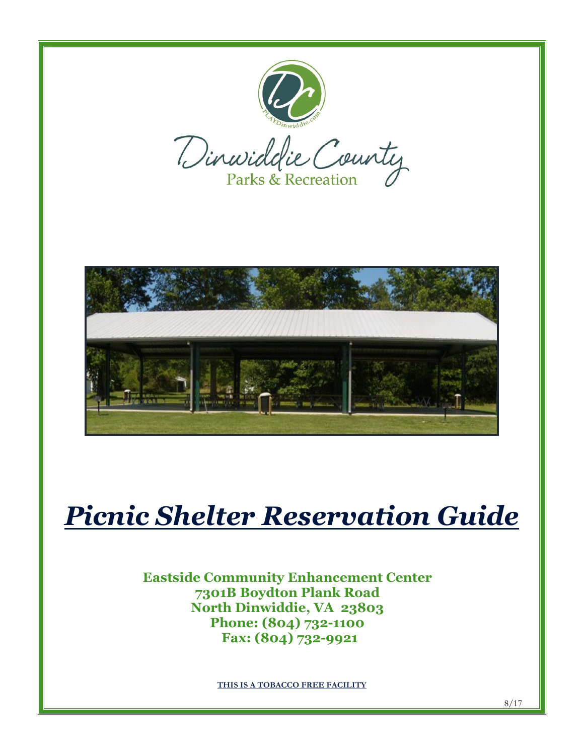





# *Picnic Shelter Reservation Guide*

# **Eastside Community Enhancement Center 7301B Boydton Plank Road North Dinwiddie, VA 23803 Phone: (804) 732-1100 Fax: (804) 732-9921**

**THIS IS A TOBACCO FREE FACILITY**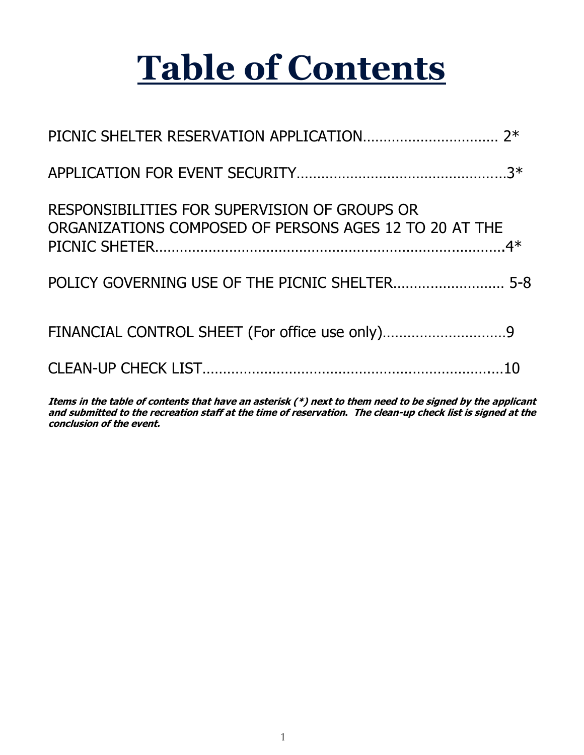# **Table of Contents**

| RESPONSIBILITIES FOR SUPERVISION OF GROUPS OR<br>ORGANIZATIONS COMPOSED OF PERSONS AGES 12 TO 20 AT THE |  |
|---------------------------------------------------------------------------------------------------------|--|
|                                                                                                         |  |
|                                                                                                         |  |
|                                                                                                         |  |

**Items in the table of contents that have an asterisk (\*) next to them need to be signed by the applicant and submitted to the recreation staff at the time of reservation. The clean-up check list is signed at the conclusion of the event.**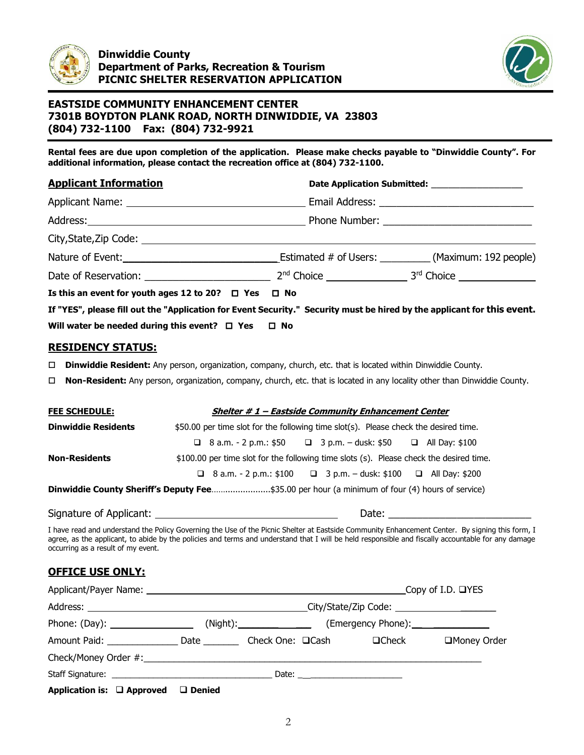



**Rental fees are due upon completion of the application. Please make checks payable to "Dinwiddie County". For additional information, please contact the recreation office at (804) 732-1100.** 

| <b>Applicant Information</b>                                                                                            | Date Application Submitted: _____________________ |
|-------------------------------------------------------------------------------------------------------------------------|---------------------------------------------------|
|                                                                                                                         |                                                   |
|                                                                                                                         |                                                   |
|                                                                                                                         |                                                   |
| Nature of Event: 192 people) Estimated # of Users: ____________ (Maximum: 192 people)                                   |                                                   |
|                                                                                                                         |                                                   |
| Is this an event for youth ages 12 to 20? $\Box$ Yes $\Box$ No                                                          |                                                   |
| If "YES", please fill out the "Application for Event Security." Security must be hired by the applicant for this event. |                                                   |
| Will water be needed during this event? $\Box$ Yes $\Box$ No                                                            |                                                   |

#### **RESIDENCY STATUS:**

- **Dinwiddie Resident:** Any person, organization, company, church, etc. that is located within Dinwiddie County.
- **Non-Resident:** Any person, organization, company, church, etc. that is located in any locality other than Dinwiddie County.

| <b>FEE SCHEDULE:</b>                                                                           | Shelter #1 - Eastside Community Enhancement Center                                      |  |
|------------------------------------------------------------------------------------------------|-----------------------------------------------------------------------------------------|--|
| <b>Dinwiddie Residents</b>                                                                     | \$50.00 per time slot for the following time slot(s). Please check the desired time.    |  |
|                                                                                                | <b>a</b> 8 a.m. - 2 p.m.: $$50$ <b>a</b> 3 p.m. - dusk: $$50$ <b>a</b> All Day: $$100$  |  |
| <b>Non-Residents</b>                                                                           | \$100.00 per time slot for the following time slots (s). Please check the desired time. |  |
|                                                                                                | <b>a</b> 8 a.m. - 2 p.m.: \$100 <b>a</b> 3 p.m. - dusk: \$100 <b>a</b> All Day: \$200   |  |
| Dinwiddie County Sheriff's Deputy Fee\$35.00 per hour (a minimum of four (4) hours of service) |                                                                                         |  |
|                                                                                                |                                                                                         |  |

Signature of Applicant: Date: \_\_\_\_\_\_\_\_\_\_\_\_\_\_\_\_\_\_\_\_\_\_\_\_\_

I have read and understand the Policy Governing the Use of the Picnic Shelter at Eastside Community Enhancement Center. By signing this form, I agree, as the applicant, to abide by the policies and terms and understand that I will be held responsible and fiscally accountable for any damage occurring as a result of my event.

# **OFFICE USE ONLY:**

|                                               |  |  |  | Copy of I.D. $\Box$ YES |
|-----------------------------------------------|--|--|--|-------------------------|
|                                               |  |  |  |                         |
|                                               |  |  |  |                         |
|                                               |  |  |  | □Money Order            |
|                                               |  |  |  |                         |
|                                               |  |  |  |                         |
| Application is: $\Box$ Approved $\Box$ Denied |  |  |  |                         |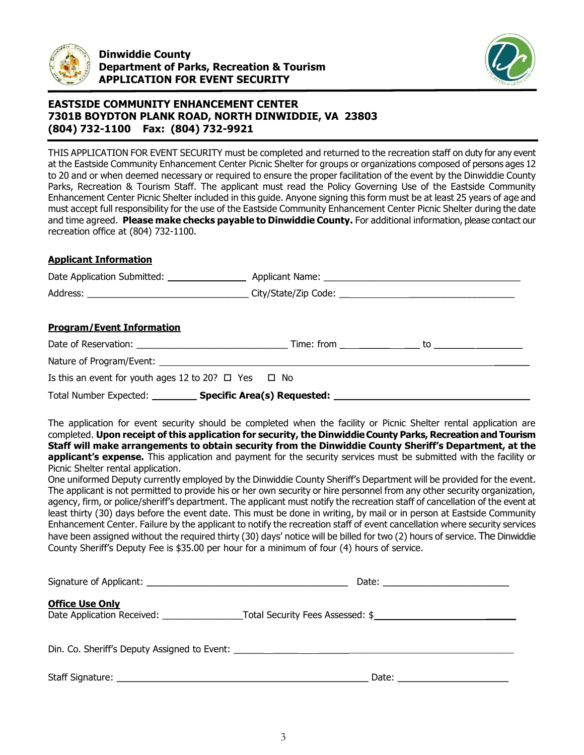



THIS APPLICATION FOR EVENT SECURITY must be completed and returned to the recreation staff on duty for any event at the Eastside Community Enhancement Center Picnic Shelter for groups or organizations composed of persons ages 12 to 20 and or when deemed necessary or required to ensure the proper facilitation of the event by the Dinwiddie County Parks, Recreation & Tourism Staff. The applicant must read the Policy Governing Use of the Eastside Community Enhancement Center Picnic Shelter included in this guide. Anyone signing this form must be at least 25 years of age and must accept full responsibility for the use of the Eastside Community Enhancement Center Picnic Shelter during the date and time agreed. **Please make checks payable to Dinwiddie County.** For additional information, please contact our recreation office at (804) 732-1100.

#### **Applicant Information**

| <b>Program/Event Information</b>                                                |  |  |  |
|---------------------------------------------------------------------------------|--|--|--|
|                                                                                 |  |  |  |
|                                                                                 |  |  |  |
| Is this an event for youth ages 12 to 20? $\Box$ Yes $\Box$ No                  |  |  |  |
| Total Number Expected: Specific Area(s) Requested: Specific Area (s) Requested: |  |  |  |

The application for event security should be completed when the facility or Picnic Shelter rental application are completed. **Upon receipt of this application for security, the Dinwiddie County Parks, Recreation and Tourism Staff will make arrangements to obtain security from the Dinwiddie County Sheriff's Department, at the applicant's expense.** This application and payment for the security services must be submitted with the facility or Picnic Shelter rental application.

One uniformed Deputy currently employed by the Dinwiddie County Sheriff's Department will be provided for the event. The applicant is not permitted to provide his or her own security or hire personnel from any other security organization, agency, firm, or police/sheriff's department. The applicant must notify the recreation staff of cancellation of the event at least thirty (30) days before the event date. This must be done in writing, by mail or in person at Eastside Community Enhancement Center. Failure by the applicant to notify the recreation staff of event cancellation where security services have been assigned without the required thirty (30) days' notice will be billed for two (2) hours of service. The Dinwiddie County Sheriff's Deputy Fee is \$35.00 per hour for a minimum of four (4) hours of service.

|                                                                                  | Date: $\qquad \qquad$ |
|----------------------------------------------------------------------------------|-----------------------|
| <b>Office Use Only</b>                                                           |                       |
| Din. Co. Sheriff's Deputy Assigned to Event: ___________________________________ |                       |
| Staff Signature:                                                                 | Date:                 |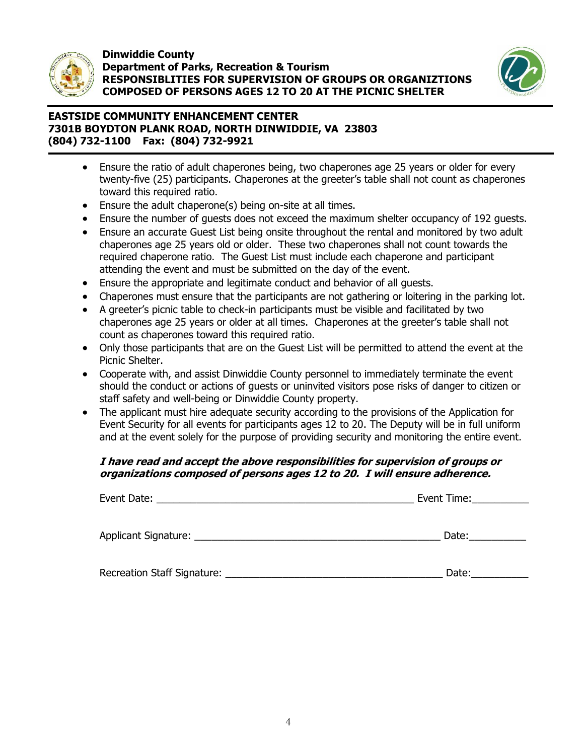

#### **Dinwiddie County Department of Parks, Recreation & Tourism RESPONSIBLITIES FOR SUPERVISION OF GROUPS OR ORGANIZTIONS COMPOSED OF PERSONS AGES 12 TO 20 AT THE PICNIC SHELTER**



# **EASTSIDE COMMUNITY ENHANCEMENT CENTER 7301B BOYDTON PLANK ROAD, NORTH DINWIDDIE, VA 23803 (804) 732-1100 Fax: (804) 732-9921**

- Ensure the ratio of adult chaperones being, two chaperones age 25 years or older for every twenty-five (25) participants. Chaperones at the greeter's table shall not count as chaperones toward this required ratio.
- Ensure the adult chaperone(s) being on-site at all times.
- Ensure the number of guests does not exceed the maximum shelter occupancy of 192 guests.
- Ensure an accurate Guest List being onsite throughout the rental and monitored by two adult chaperones age 25 years old or older. These two chaperones shall not count towards the required chaperone ratio. The Guest List must include each chaperone and participant attending the event and must be submitted on the day of the event.
- Ensure the appropriate and legitimate conduct and behavior of all guests.
- Chaperones must ensure that the participants are not gathering or loitering in the parking lot.
- A greeter's picnic table to check-in participants must be visible and facilitated by two chaperones age 25 years or older at all times. Chaperones at the greeter's table shall not count as chaperones toward this required ratio.
- Only those participants that are on the Guest List will be permitted to attend the event at the Picnic Shelter.
- Cooperate with, and assist Dinwiddie County personnel to immediately terminate the event should the conduct or actions of guests or uninvited visitors pose risks of danger to citizen or staff safety and well-being or Dinwiddie County property.
- The applicant must hire adequate security according to the provisions of the Application for Event Security for all events for participants ages 12 to 20. The Deputy will be in full uniform and at the event solely for the purpose of providing security and monitoring the entire event.

# **I have read and accept the above responsibilities for supervision of groups or organizations composed of persons ages 12 to 20. I will ensure adherence.**

|                                                    | Event Time: |
|----------------------------------------------------|-------------|
| Applicant Signature: National Applicant Signature: | Date:       |
| <b>Recreation Staff Signature:</b>                 | Date:       |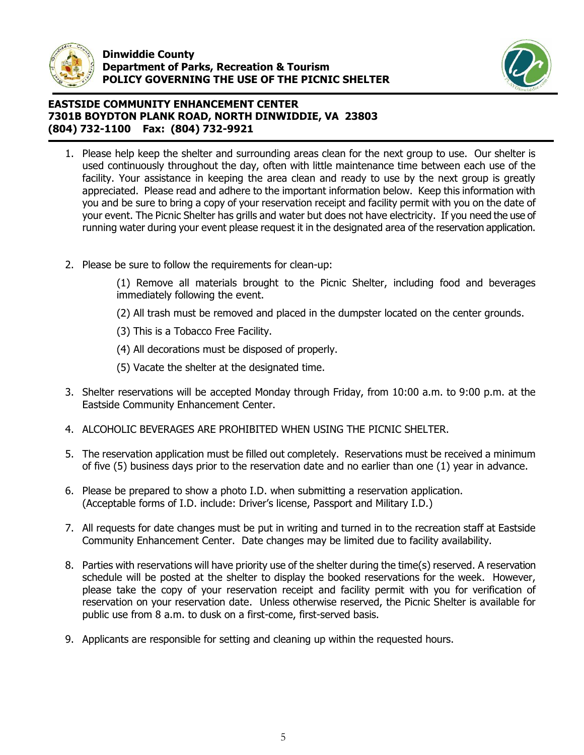



- 1. Please help keep the shelter and surrounding areas clean for the next group to use. Our shelter is used continuously throughout the day, often with little maintenance time between each use of the facility. Your assistance in keeping the area clean and ready to use by the next group is greatly appreciated. Please read and adhere to the important information below. Keep this information with you and be sure to bring a copy of your reservation receipt and facility permit with you on the date of your event. The Picnic Shelter has grills and water but does not have electricity. If you need the use of running water during your event please request it in the designated area of the reservation application.
- 2. Please be sure to follow the requirements for clean-up:

(1) Remove all materials brought to the Picnic Shelter, including food and beverages immediately following the event.

- (2) All trash must be removed and placed in the dumpster located on the center grounds.
- (3) This is a Tobacco Free Facility.
- (4) All decorations must be disposed of properly.
- (5) Vacate the shelter at the designated time.
- 3. Shelter reservations will be accepted Monday through Friday, from 10:00 a.m. to 9:00 p.m. at the Eastside Community Enhancement Center.
- 4. ALCOHOLIC BEVERAGES ARE PROHIBITED WHEN USING THE PICNIC SHELTER.
- 5. The reservation application must be filled out completely. Reservations must be received a minimum of five (5) business days prior to the reservation date and no earlier than one (1) year in advance.
- 6. Please be prepared to show a photo I.D. when submitting a reservation application. (Acceptable forms of I.D. include: Driver's license, Passport and Military I.D.)
- 7. All requests for date changes must be put in writing and turned in to the recreation staff at Eastside Community Enhancement Center. Date changes may be limited due to facility availability.
- 8. Parties with reservations will have priority use of the shelter during the time(s) reserved. A reservation schedule will be posted at the shelter to display the booked reservations for the week. However, please take the copy of your reservation receipt and facility permit with you for verification of reservation on your reservation date. Unless otherwise reserved, the Picnic Shelter is available for public use from 8 a.m. to dusk on a first-come, first-served basis.
- 9. Applicants are responsible for setting and cleaning up within the requested hours.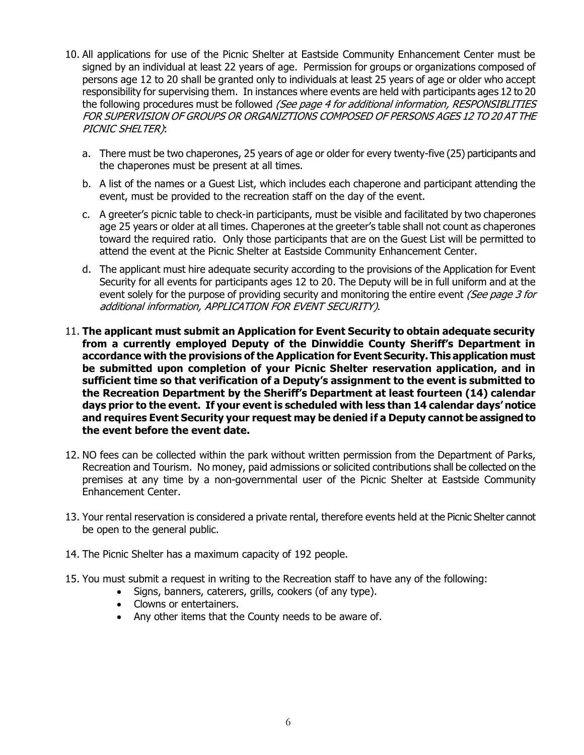- 10. All applications for use of the Picnic Shelter at Eastside Community Enhancement Center must be signed by an individual at least 22 years of age. Permission for groups or organizations composed of persons age 12 to 20 shall be granted only to individuals at least 25 years of age or older who accept responsibility for supervising them. In instances where events are held with participants ages 12 to 20 the following procedures must be followed (See page 4 for additional information, RESPONSIBLITIES FOR SUPERVISION OF GROUPS OR ORGANIZTIONS COMPOSED OF PERSONS AGES 12 TO 20 AT THE PICNIC SHELTER):
	- a. There must be two chaperones, 25 years of age or older for every twenty-five (25) participants and the chaperones must be present at all times.
	- b. A list of the names or a Guest List, which includes each chaperone and participant attending the event, must be provided to the recreation staff on the day of the event.
	- c. A greeter's picnic table to check-in participants, must be visible and facilitated by two chaperones age 25 years or older at all times. Chaperones at the greeter's table shall not count as chaperones toward the required ratio. Only those participants that are on the Guest List will be permitted to attend the event at the Picnic Shelter at Eastside Community Enhancement Center.
	- d. The applicant must hire adequate security according to the provisions of the Application for Event Security for all events for participants ages 12 to 20. The Deputy will be in full uniform and at the event solely for the purpose of providing security and monitoring the entire event (See page 3 for additional information, APPLICATION FOR EVENT SECURITY).
- 11. **The applicant must submit an Application for Event Security to obtain adequate security from a currently employed Deputy of the Dinwiddie County Sheriff's Department in accordance with the provisions of the Application for Event Security. This application must be submitted upon completion of your Picnic Shelter reservation application, and in sufficient time so that verification of a Deputy's assignment to the event is submitted to the Recreation Department by the Sheriff's Department at least fourteen (14) calendar days prior to the event. If your event is scheduled with less than 14 calendar days' notice and requires Event Security your request may be denied if a Deputy cannot be assigned to the event before the event date.**
- 12. NO fees can be collected within the park without written permission from the Department of Parks, Recreation and Tourism. No money, paid admissions or solicited contributions shall be collected on the premises at any time by a non-governmental user of the Picnic Shelter at Eastside Community Enhancement Center.
- 13. Your rental reservation is considered a private rental, therefore events held at the Picnic Shelter cannot be open to the general public.
- 14. The Picnic Shelter has a maximum capacity of 192 people.
- 15. You must submit a request in writing to the Recreation staff to have any of the following:
	- Signs, banners, caterers, grills, cookers (of any type).
	- Clowns or entertainers.
	- Any other items that the County needs to be aware of.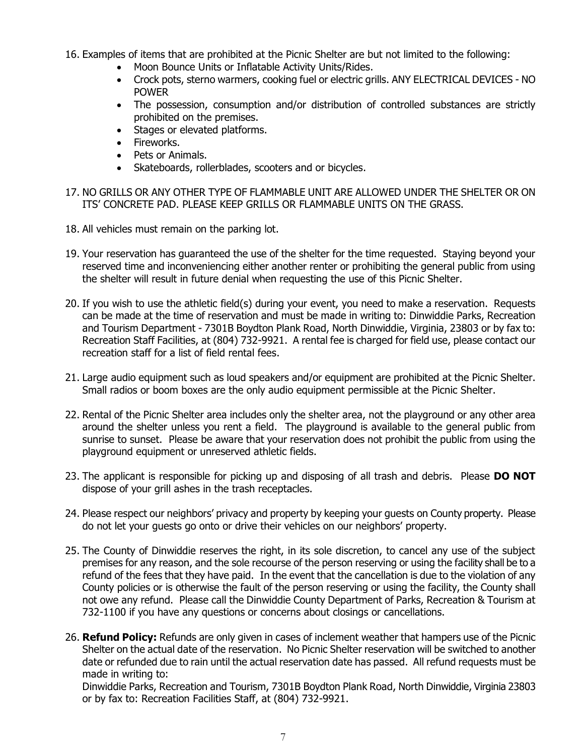- 16. Examples of items that are prohibited at the Picnic Shelter are but not limited to the following:
	- Moon Bounce Units or Inflatable Activity Units/Rides.
	- Crock pots, sterno warmers, cooking fuel or electric grills. ANY ELECTRICAL DEVICES NO POWER
	- The possession, consumption and/or distribution of controlled substances are strictly prohibited on the premises.
	- Stages or elevated platforms.
	- Fireworks.
	- Pets or Animals.
	- Skateboards, rollerblades, scooters and or bicycles.
- 17. NO GRILLS OR ANY OTHER TYPE OF FLAMMABLE UNIT ARE ALLOWED UNDER THE SHELTER OR ON ITS' CONCRETE PAD. PLEASE KEEP GRILLS OR FLAMMABLE UNITS ON THE GRASS.
- 18. All vehicles must remain on the parking lot.
- 19. Your reservation has guaranteed the use of the shelter for the time requested. Staying beyond your reserved time and inconveniencing either another renter or prohibiting the general public from using the shelter will result in future denial when requesting the use of this Picnic Shelter.
- 20. If you wish to use the athletic field(s) during your event, you need to make a reservation. Requests can be made at the time of reservation and must be made in writing to: Dinwiddie Parks, Recreation and Tourism Department - 7301B Boydton Plank Road, North Dinwiddie, Virginia, 23803 or by fax to: Recreation Staff Facilities, at (804) 732-9921. A rental fee is charged for field use, please contact our recreation staff for a list of field rental fees.
- 21. Large audio equipment such as loud speakers and/or equipment are prohibited at the Picnic Shelter. Small radios or boom boxes are the only audio equipment permissible at the Picnic Shelter.
- 22. Rental of the Picnic Shelter area includes only the shelter area, not the playground or any other area around the shelter unless you rent a field. The playground is available to the general public from sunrise to sunset. Please be aware that your reservation does not prohibit the public from using the playground equipment or unreserved athletic fields.
- 23. The applicant is responsible for picking up and disposing of all trash and debris. Please **DO NOT** dispose of your grill ashes in the trash receptacles.
- 24. Please respect our neighbors' privacy and property by keeping your guests on County property. Please do not let your guests go onto or drive their vehicles on our neighbors' property.
- 25. The County of Dinwiddie reserves the right, in its sole discretion, to cancel any use of the subject premises for any reason, and the sole recourse of the person reserving or using the facility shall be to a refund of the fees that they have paid. In the event that the cancellation is due to the violation of any County policies or is otherwise the fault of the person reserving or using the facility, the County shall not owe any refund. Please call the Dinwiddie County Department of Parks, Recreation & Tourism at 732-1100 if you have any questions or concerns about closings or cancellations.
- 26. **Refund Policy:** Refunds are only given in cases of inclement weather that hampers use of the Picnic Shelter on the actual date of the reservation. No Picnic Shelter reservation will be switched to another date or refunded due to rain until the actual reservation date has passed. All refund requests must be made in writing to:

Dinwiddie Parks, Recreation and Tourism, 7301B Boydton Plank Road, North Dinwiddie, Virginia 23803 or by fax to: Recreation Facilities Staff, at (804) 732-9921.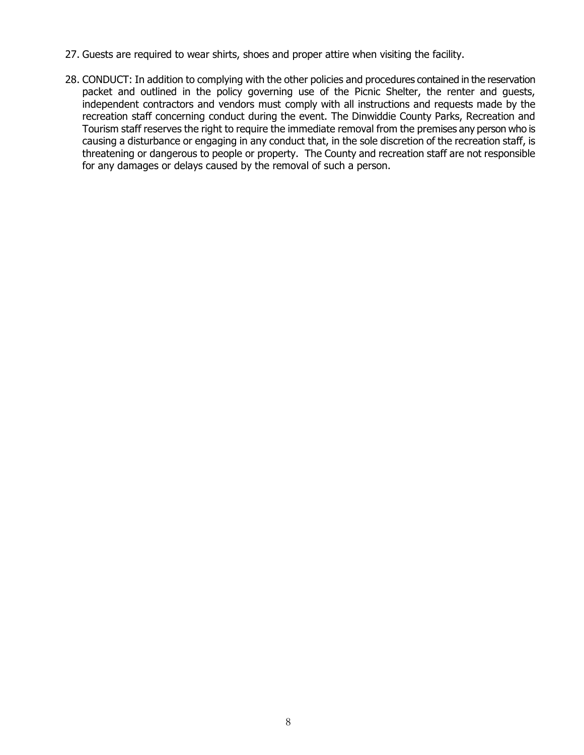- 27. Guests are required to wear shirts, shoes and proper attire when visiting the facility.
- 28. CONDUCT: In addition to complying with the other policies and procedures contained in the reservation packet and outlined in the policy governing use of the Picnic Shelter, the renter and guests, independent contractors and vendors must comply with all instructions and requests made by the recreation staff concerning conduct during the event. The Dinwiddie County Parks, Recreation and Tourism staff reserves the right to require the immediate removal from the premises any person who is causing a disturbance or engaging in any conduct that, in the sole discretion of the recreation staff, is threatening or dangerous to people or property. The County and recreation staff are not responsible for any damages or delays caused by the removal of such a person.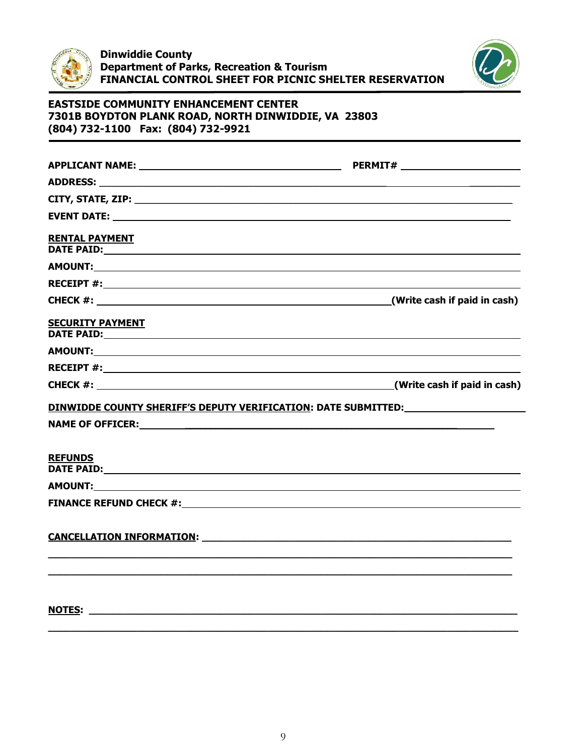



| <b>RENTAL PAYMENT</b>                                                                                                                                                                                                                                     |  |
|-----------------------------------------------------------------------------------------------------------------------------------------------------------------------------------------------------------------------------------------------------------|--|
|                                                                                                                                                                                                                                                           |  |
|                                                                                                                                                                                                                                                           |  |
|                                                                                                                                                                                                                                                           |  |
| <b>SECURITY PAYMENT</b><br>DATE PAID: the contract of the contract of the contract of the contract of the contract of the contract of the contract of the contract of the contract of the contract of the contract of the contract of the contract of the |  |
|                                                                                                                                                                                                                                                           |  |
|                                                                                                                                                                                                                                                           |  |
|                                                                                                                                                                                                                                                           |  |
| <u>DINWIDDE COUNTY SHERIFF'S DEPUTY VERIFICATION:</u> DATE SUBMITTED: NATE SUBMITTED:                                                                                                                                                                     |  |
| NAME OF OFFICER: NAME OF OUR SERVICE OF STREET AND RELEASED FOR STREET AND RELEASED FOR STREET AND RELEASED FOR STREET AND RELEASED FOR STREET AND RELEASED FOR STREET AND RELEASED FOR STREET AND RELEASED FOR STREET AND REL                            |  |
| <b>REFUNDS</b><br>DATE PAID: Note and the second contract of the second contract of the second contract of the second contract of the second contract of the second contract of the second contract of the second contract of the second contrac          |  |
| AMOUNT: A POINT AND A REPORT OF THE CONTRACT OF THE CONTRACT OF THE CONTRACT OF THE CONTRACT OF THE CONTRACT OF THE CONTRACT OF THE CONTRACT OF THE CONTRACT OF THE CONTRACT OF THE CONTRACT OF THE CONTRACT OF THE CONTRACT O                            |  |
|                                                                                                                                                                                                                                                           |  |
| <b>CANCELLATION INFORMATION:</b> The contract of the contract of the contract of the contract of the contract of the contract of the contract of the contract of the contract of the contract of the contract of the contract of th                       |  |
|                                                                                                                                                                                                                                                           |  |
|                                                                                                                                                                                                                                                           |  |